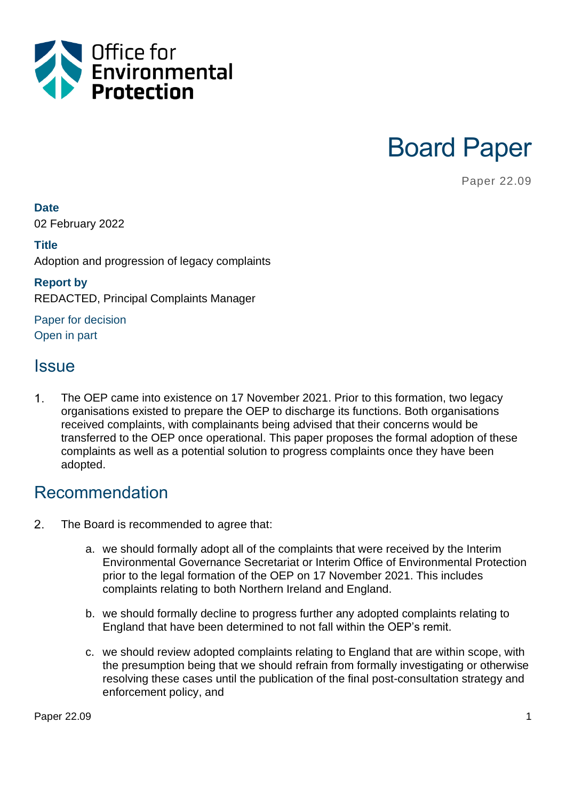

Board Paper

Paper 22.09

**Date**

02 February 2022

**Title** Adoption and progression of legacy complaints

**Report by** REDACTED, Principal Complaints Manager

Paper for decision Open in part

### **Issue**

 $\mathbf{1}$ . The OEP came into existence on 17 November 2021. Prior to this formation, two legacy organisations existed to prepare the OEP to discharge its functions. Both organisations received complaints, with complainants being advised that their concerns would be transferred to the OEP once operational. This paper proposes the formal adoption of these complaints as well as a potential solution to progress complaints once they have been adopted.

### Recommendation

- $2.$ The Board is recommended to agree that:
	- a. we should formally adopt all of the complaints that were received by the Interim Environmental Governance Secretariat or Interim Office of Environmental Protection prior to the legal formation of the OEP on 17 November 2021. This includes complaints relating to both Northern Ireland and England.
	- b. we should formally decline to progress further any adopted complaints relating to England that have been determined to not fall within the OEP's remit.
	- c. we should review adopted complaints relating to England that are within scope, with the presumption being that we should refrain from formally investigating or otherwise resolving these cases until the publication of the final post-consultation strategy and enforcement policy, and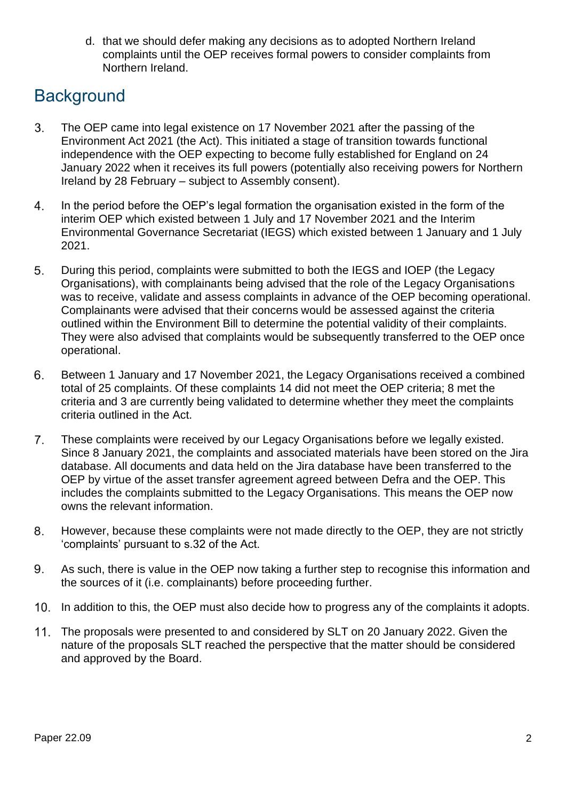d. that we should defer making any decisions as to adopted Northern Ireland complaints until the OEP receives formal powers to consider complaints from Northern Ireland.

# **Background**

- The OEP came into legal existence on 17 November 2021 after the passing of the 3. Environment Act 2021 (the Act). This initiated a stage of transition towards functional independence with the OEP expecting to become fully established for England on 24 January 2022 when it receives its full powers (potentially also receiving powers for Northern Ireland by 28 February – subject to Assembly consent).
- 4. In the period before the OEP's legal formation the organisation existed in the form of the interim OEP which existed between 1 July and 17 November 2021 and the Interim Environmental Governance Secretariat (IEGS) which existed between 1 January and 1 July 2021.
- 5. During this period, complaints were submitted to both the IEGS and IOEP (the Legacy Organisations), with complainants being advised that the role of the Legacy Organisations was to receive, validate and assess complaints in advance of the OEP becoming operational. Complainants were advised that their concerns would be assessed against the criteria outlined within the Environment Bill to determine the potential validity of their complaints. They were also advised that complaints would be subsequently transferred to the OEP once operational.
- 6. Between 1 January and 17 November 2021, the Legacy Organisations received a combined total of 25 complaints. Of these complaints 14 did not meet the OEP criteria; 8 met the criteria and 3 are currently being validated to determine whether they meet the complaints criteria outlined in the Act.
- $7.$ These complaints were received by our Legacy Organisations before we legally existed. Since 8 January 2021, the complaints and associated materials have been stored on the Jira database. All documents and data held on the Jira database have been transferred to the OEP by virtue of the asset transfer agreement agreed between Defra and the OEP. This includes the complaints submitted to the Legacy Organisations. This means the OEP now owns the relevant information.
- However, because these complaints were not made directly to the OEP, they are not strictly 8. 'complaints' pursuant to s.32 of the Act.
- 9. As such, there is value in the OEP now taking a further step to recognise this information and the sources of it (i.e. complainants) before proceeding further.
- 10. In addition to this, the OEP must also decide how to progress any of the complaints it adopts.
- The proposals were presented to and considered by SLT on 20 January 2022. Given the nature of the proposals SLT reached the perspective that the matter should be considered and approved by the Board.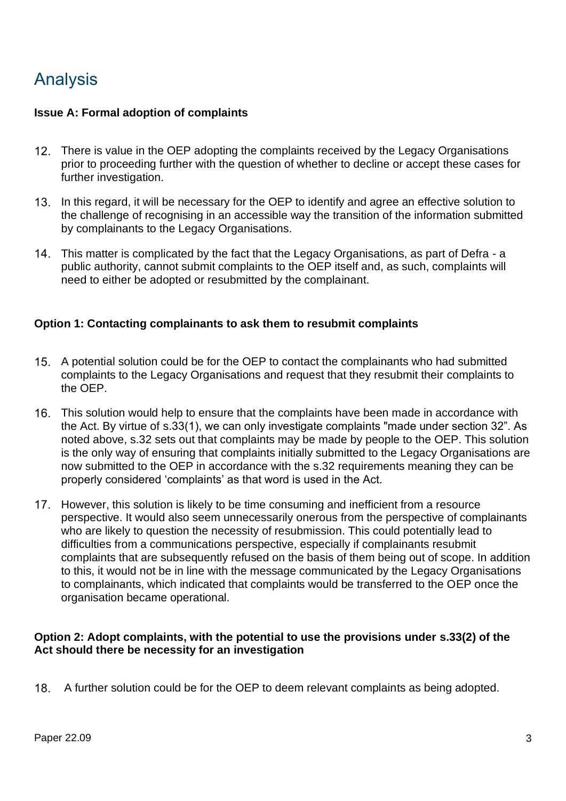# Analysis

#### **Issue A: Formal adoption of complaints**

- 12. There is value in the OEP adopting the complaints received by the Legacy Organisations prior to proceeding further with the question of whether to decline or accept these cases for further investigation.
- 13. In this regard, it will be necessary for the OEP to identify and agree an effective solution to the challenge of recognising in an accessible way the transition of the information submitted by complainants to the Legacy Organisations.
- This matter is complicated by the fact that the Legacy Organisations, as part of Defra a public authority, cannot submit complaints to the OEP itself and, as such, complaints will need to either be adopted or resubmitted by the complainant.

#### **Option 1: Contacting complainants to ask them to resubmit complaints**

- A potential solution could be for the OEP to contact the complainants who had submitted complaints to the Legacy Organisations and request that they resubmit their complaints to the OEP.
- This solution would help to ensure that the complaints have been made in accordance with the Act. By virtue of s.33(1), we can only investigate complaints "made under section 32". As noted above, s.32 sets out that complaints may be made by people to the OEP. This solution is the only way of ensuring that complaints initially submitted to the Legacy Organisations are now submitted to the OEP in accordance with the s.32 requirements meaning they can be properly considered 'complaints' as that word is used in the Act.
- 17. However, this solution is likely to be time consuming and inefficient from a resource perspective. It would also seem unnecessarily onerous from the perspective of complainants who are likely to question the necessity of resubmission. This could potentially lead to difficulties from a communications perspective, especially if complainants resubmit complaints that are subsequently refused on the basis of them being out of scope. In addition to this, it would not be in line with the message communicated by the Legacy Organisations to complainants, which indicated that complaints would be transferred to the OEP once the organisation became operational.

#### **Option 2: Adopt complaints, with the potential to use the provisions under s.33(2) of the Act should there be necessity for an investigation**

18. A further solution could be for the OEP to deem relevant complaints as being adopted.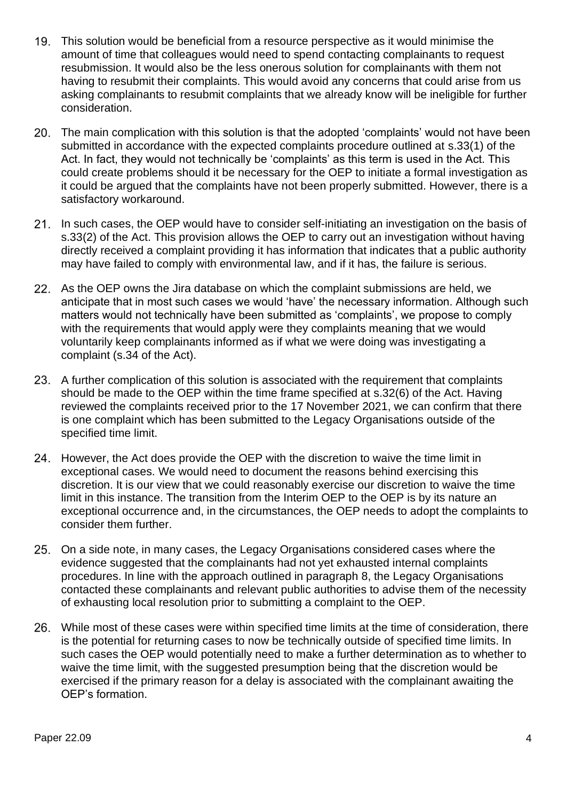- This solution would be beneficial from a resource perspective as it would minimise the amount of time that colleagues would need to spend contacting complainants to request resubmission. It would also be the less onerous solution for complainants with them not having to resubmit their complaints. This would avoid any concerns that could arise from us asking complainants to resubmit complaints that we already know will be ineligible for further consideration.
- The main complication with this solution is that the adopted 'complaints' would not have been submitted in accordance with the expected complaints procedure outlined at s.33(1) of the Act. In fact, they would not technically be 'complaints' as this term is used in the Act. This could create problems should it be necessary for the OEP to initiate a formal investigation as it could be argued that the complaints have not been properly submitted. However, there is a satisfactory workaround.
- 21. In such cases, the OEP would have to consider self-initiating an investigation on the basis of s.33(2) of the Act. This provision allows the OEP to carry out an investigation without having directly received a complaint providing it has information that indicates that a public authority may have failed to comply with environmental law, and if it has, the failure is serious.
- 22. As the OEP owns the Jira database on which the complaint submissions are held, we anticipate that in most such cases we would 'have' the necessary information. Although such matters would not technically have been submitted as 'complaints', we propose to comply with the requirements that would apply were they complaints meaning that we would voluntarily keep complainants informed as if what we were doing was investigating a complaint (s.34 of the Act).
- 23. A further complication of this solution is associated with the requirement that complaints should be made to the OEP within the time frame specified at s.32(6) of the Act. Having reviewed the complaints received prior to the 17 November 2021, we can confirm that there is one complaint which has been submitted to the Legacy Organisations outside of the specified time limit.
- 24. However, the Act does provide the OEP with the discretion to waive the time limit in exceptional cases. We would need to document the reasons behind exercising this discretion. It is our view that we could reasonably exercise our discretion to waive the time limit in this instance. The transition from the Interim OEP to the OEP is by its nature an exceptional occurrence and, in the circumstances, the OEP needs to adopt the complaints to consider them further.
- On a side note, in many cases, the Legacy Organisations considered cases where the evidence suggested that the complainants had not yet exhausted internal complaints procedures. In line with the approach outlined in paragraph 8, the Legacy Organisations contacted these complainants and relevant public authorities to advise them of the necessity of exhausting local resolution prior to submitting a complaint to the OEP.
- While most of these cases were within specified time limits at the time of consideration, there is the potential for returning cases to now be technically outside of specified time limits. In such cases the OEP would potentially need to make a further determination as to whether to waive the time limit, with the suggested presumption being that the discretion would be exercised if the primary reason for a delay is associated with the complainant awaiting the OEP's formation.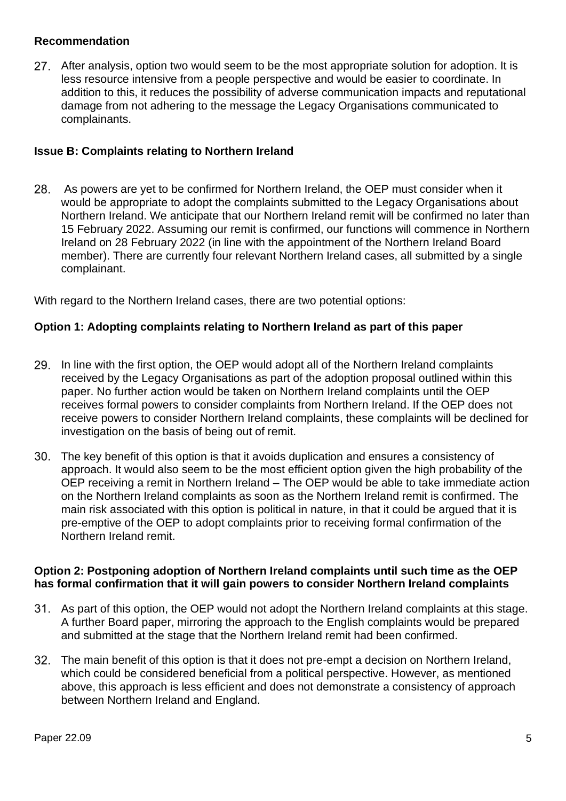#### **Recommendation**

After analysis, option two would seem to be the most appropriate solution for adoption. It is less resource intensive from a people perspective and would be easier to coordinate. In addition to this, it reduces the possibility of adverse communication impacts and reputational damage from not adhering to the message the Legacy Organisations communicated to complainants.

#### **Issue B: Complaints relating to Northern Ireland**

28. As powers are yet to be confirmed for Northern Ireland, the OEP must consider when it would be appropriate to adopt the complaints submitted to the Legacy Organisations about Northern Ireland. We anticipate that our Northern Ireland remit will be confirmed no later than 15 February 2022. Assuming our remit is confirmed, our functions will commence in Northern Ireland on 28 February 2022 (in line with the appointment of the Northern Ireland Board member). There are currently four relevant Northern Ireland cases, all submitted by a single complainant.

With regard to the Northern Ireland cases, there are two potential options:

#### **Option 1: Adopting complaints relating to Northern Ireland as part of this paper**

- 29. In line with the first option, the OEP would adopt all of the Northern Ireland complaints received by the Legacy Organisations as part of the adoption proposal outlined within this paper. No further action would be taken on Northern Ireland complaints until the OEP receives formal powers to consider complaints from Northern Ireland. If the OEP does not receive powers to consider Northern Ireland complaints, these complaints will be declined for investigation on the basis of being out of remit.
- The key benefit of this option is that it avoids duplication and ensures a consistency of approach. It would also seem to be the most efficient option given the high probability of the OEP receiving a remit in Northern Ireland – The OEP would be able to take immediate action on the Northern Ireland complaints as soon as the Northern Ireland remit is confirmed. The main risk associated with this option is political in nature, in that it could be argued that it is pre-emptive of the OEP to adopt complaints prior to receiving formal confirmation of the Northern Ireland remit.

#### **Option 2: Postponing adoption of Northern Ireland complaints until such time as the OEP has formal confirmation that it will gain powers to consider Northern Ireland complaints**

- As part of this option, the OEP would not adopt the Northern Ireland complaints at this stage. A further Board paper, mirroring the approach to the English complaints would be prepared and submitted at the stage that the Northern Ireland remit had been confirmed.
- The main benefit of this option is that it does not pre-empt a decision on Northern Ireland, which could be considered beneficial from a political perspective. However, as mentioned above, this approach is less efficient and does not demonstrate a consistency of approach between Northern Ireland and England.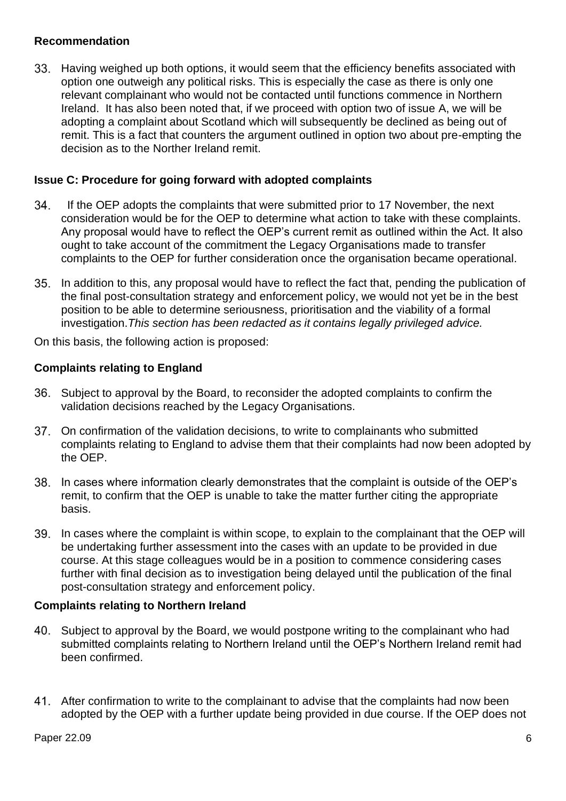#### **Recommendation**

Having weighed up both options, it would seem that the efficiency benefits associated with option one outweigh any political risks. This is especially the case as there is only one relevant complainant who would not be contacted until functions commence in Northern Ireland. It has also been noted that, if we proceed with option two of issue A, we will be adopting a complaint about Scotland which will subsequently be declined as being out of remit. This is a fact that counters the argument outlined in option two about pre-empting the decision as to the Norther Ireland remit.

#### **Issue C: Procedure for going forward with adopted complaints**

- 34. If the OEP adopts the complaints that were submitted prior to 17 November, the next consideration would be for the OEP to determine what action to take with these complaints. Any proposal would have to reflect the OEP's current remit as outlined within the Act. It also ought to take account of the commitment the Legacy Organisations made to transfer complaints to the OEP for further consideration once the organisation became operational.
- In addition to this, any proposal would have to reflect the fact that, pending the publication of the final post-consultation strategy and enforcement policy, we would not yet be in the best position to be able to determine seriousness, prioritisation and the viability of a formal investigation.*This section has been redacted as it contains legally privileged advice.*

On this basis, the following action is proposed:

#### **Complaints relating to England**

- Subject to approval by the Board, to reconsider the adopted complaints to confirm the validation decisions reached by the Legacy Organisations.
- On confirmation of the validation decisions, to write to complainants who submitted complaints relating to England to advise them that their complaints had now been adopted by the OEP.
- In cases where information clearly demonstrates that the complaint is outside of the OEP's remit, to confirm that the OEP is unable to take the matter further citing the appropriate basis.
- In cases where the complaint is within scope, to explain to the complainant that the OEP will be undertaking further assessment into the cases with an update to be provided in due course. At this stage colleagues would be in a position to commence considering cases further with final decision as to investigation being delayed until the publication of the final post-consultation strategy and enforcement policy.

#### **Complaints relating to Northern Ireland**

- 40. Subject to approval by the Board, we would postpone writing to the complainant who had submitted complaints relating to Northern Ireland until the OEP's Northern Ireland remit had been confirmed.
- After confirmation to write to the complainant to advise that the complaints had now been adopted by the OEP with a further update being provided in due course. If the OEP does not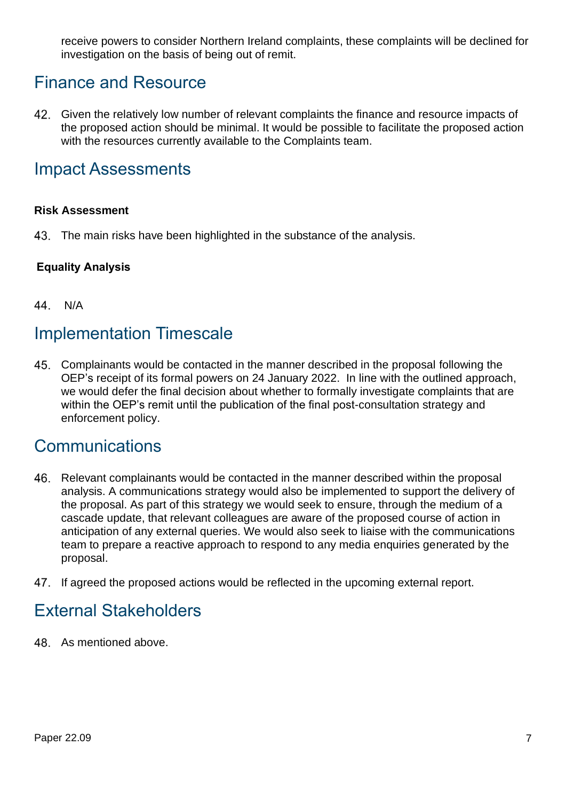receive powers to consider Northern Ireland complaints, these complaints will be declined for investigation on the basis of being out of remit.

### Finance and Resource

42. Given the relatively low number of relevant complaints the finance and resource impacts of the proposed action should be minimal. It would be possible to facilitate the proposed action with the resources currently available to the Complaints team.

### Impact Assessments

#### **Risk Assessment**

43. The main risks have been highlighted in the substance of the analysis.

#### **Equality Analysis**

44. N/A

### Implementation Timescale

Complainants would be contacted in the manner described in the proposal following the OEP's receipt of its formal powers on 24 January 2022. In line with the outlined approach, we would defer the final decision about whether to formally investigate complaints that are within the OEP's remit until the publication of the final post-consultation strategy and enforcement policy.

### **Communications**

- Relevant complainants would be contacted in the manner described within the proposal 46. analysis. A communications strategy would also be implemented to support the delivery of the proposal. As part of this strategy we would seek to ensure, through the medium of a cascade update, that relevant colleagues are aware of the proposed course of action in anticipation of any external queries. We would also seek to liaise with the communications team to prepare a reactive approach to respond to any media enquiries generated by the proposal.
- 47. If agreed the proposed actions would be reflected in the upcoming external report.

### External Stakeholders

48. As mentioned above.